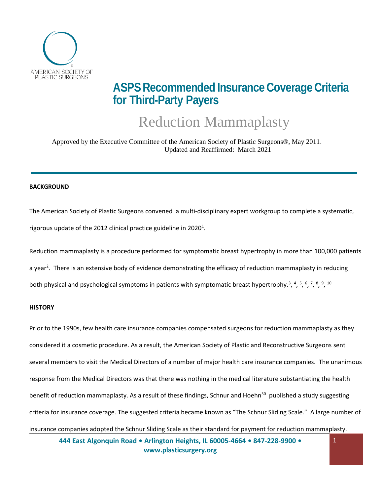

## **ASPS Recommended Insurance Coverage Criteria for Third-Party Payers**

# <span id="page-0-7"></span><span id="page-0-6"></span><span id="page-0-5"></span><span id="page-0-4"></span><span id="page-0-3"></span><span id="page-0-2"></span><span id="page-0-1"></span><span id="page-0-0"></span>Reduction Mammaplasty

Approved by the Executive Committee of the American Society of Plastic Surgeons®, May 2011. Updated and Reaffirmed: March 2021

#### **BACKGROUND**

The American Society of Plastic Surgeons convened a multi-disciplinary expert workgroup to complete a systematic, rigorous update of the 2012 clinical practice guideline in 2020<sup>1</sup>.

Reduction mammaplasty is a procedure performed for symptomatic breast hypertrophy in more than 100,000 patients a year<sup>2</sup>. There is an extensive body of evidence demonstrating the efficacy of reduction mammaplasty in reducing both physical and psychological symptoms in patients with symptomatic breast hypertrophy.<sup>3</sup>, 4, 5, 6, 7, 8, 9, <sup>10</sup>

#### **HISTORY**

Prior to the 1990s, few health care insurance companies compensated surgeons for reduction mammaplasty as they considered it a cosmetic procedure. As a result, the American Society of Plastic and Reconstructive Surgeons sent several members to visit the Medical Directors of a number of major health care insurance companies. The unanimous response from the Medical Directors was that there was nothing in the medical literature substantiating the health benefit of reduction mammaplasty. As a result of these findings, Schnur and Hoehn<sup>30</sup> published a study suggesting criteria for insurance coverage. The suggested criteria became known as "The Schnur Sliding Scale." A large number of insurance companies adopted the Schnur Sliding Scale as their standard for payment for reduction mammaplasty.

**444 East Algonquin Road • Arlington Heights, IL 60005-4664 • 847-228-9900 • [www.plasticsurgery.org](http://www.plasticsurgery.org/)**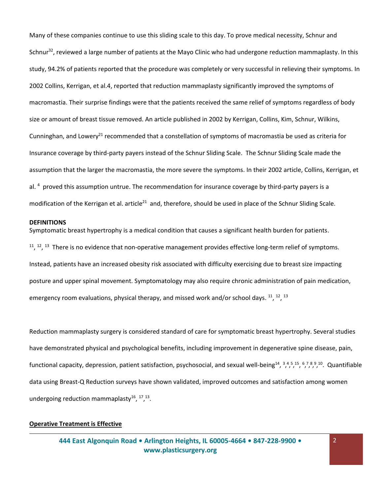Many of these companies continue to use this sliding scale to this day. To prove medical necessity, Schnur and Schnur<sup>32</sup>, reviewed a large number of patients at the Mayo Clinic who had undergone reduction mammaplasty. In this study, 94.2% of patients reported that the procedure was completely or very successful in relieving their symptoms. In 2002 Collins, Kerrigan, et al.4, reported that reduction mammaplasty significantly improved the symptoms of macromastia. Their surprise findings were that the patients received the same relief of symptoms regardless of body size or amount of breast tissue removed. An article published in 2002 by Kerrigan, Collins, Kim, Schnur, Wilkins, Cunninghan, and Lowery<sup>21</sup> recommended that a constellation of symptoms of macromastia be used as criteria for Insurance coverage by third-party payers instead of the Schnur Sliding Scale. The Schnur Sliding Scale made the assumption that the larger the macromastia, the more severe the symptoms. In their 2002 article, Collins, Kerrigan, et al. <sup>4</sup> proved this assumption untrue. The recommendation for insurance coverage by third-party payers is a modification of the Kerrigan et al. article<sup>21</sup> and, therefore, should be used in place of the Schnur Sliding Scale.

#### **DEFINITIONS**

<span id="page-1-2"></span><span id="page-1-1"></span><span id="page-1-0"></span>Symptomatic breast hypertrophy is a medical condition that causes a significant health burden for patients.  $11, 12, 13$  There is no evidence that non-operative management provides effective long-term relief of symptoms. Instead, patients have an increased obesity risk associated with difficulty exercising due to breast size impacting posture and upper spinal movement. Symptomatology may also require chronic administration of pain medication, emergency room evaluations, physical therapy, and missed work and/or school days. <sup>[11](#page-1-0)</sup>, <sup>[12](#page-1-1)</sup>, <sup>[13](#page-1-2)</sup>

Reduction mammaplasty surgery is considered standard of care for symptomatic breast hypertrophy. Several studies have demonstrated physical and psychological benefits, including improvement in degenerative spine disease, pain, functionalcapacity[,](#page-0-5) depression, patient satisfaction, psychosocial, and sexual well-being<sup>14</sup>, 3,45,15,67,89,[10](#page-0-7). Quantifiable data using Breast-Q Reduction surveys have shown validated, improved outcomes and satisfaction among women undergoing reduction mammaplasty $^{16}$ ,  $^{17}$ ,  $^{13}$  $^{13}$  $^{13}$ .

## **Operative Treatment is Effective**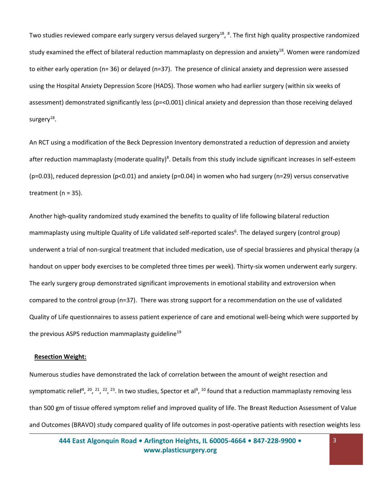<span id="page-2-0"></span>Two studies reviewed compare early surgery versus delayed surgery<sup>18</sup>, <sup>8</sup>[.](#page-0-5) The first high quality prospective randomized study examined the effect of bilateral reduction mammaplasty on depression and anxiety<sup>[18](#page-2-0)</sup>. Women were randomized to either early operation (n= 36) or delayed (n=37). The presence of clinical anxiety and depression were assessed using the Hospital Anxiety Depression Score (HADS). Those women who had earlier surgery (within six weeks of assessment) demonstrated significantly less (p=<0.001) clinical anxiety and depression than those receiving delayed surgery<sup>[18](#page-2-0)</sup>.

An RCT using a modification of the Beck Depression Inventory demonstrated a reduction of depression and anxiety after reduction mammaplasty (moderate quality[\)](#page-0-5)<sup>8</sup>. Details from this study include significant increases in self-esteem (p=0.03), reduced depression (p<0.01) and anxiety (p=0.04) in women who had surgery (n=29) versus conservative treatment ( $n = 35$ ).

Another high-quality randomized study examined the benefits to quality of life following bilateral reduction mammaplasty using multiple Quality of Life validated self-reported scales<sup>6</sup>[.](#page-0-3) The delayed surgery (control group) underwent a trial of non-surgical treatment that included medication, use of special brassieres and physical therapy (a handout on upper body exercises to be completed three times per week). Thirty-six women underwent early surgery. The early surgery group demonstrated significant improvements in emotional stability and extroversion when compared to the control group (n=37). There was strong support for a recommendation on the use of validated Quality of Life questionnaires to assess patient experience of care and emotional well-being which were supported by the previous ASPS reduction mammaplasty guideline<sup>19</sup>

#### **Resection Weight:**

<span id="page-2-3"></span><span id="page-2-2"></span><span id="page-2-1"></span>Numerous studies have demonstrated the lack of correlation between the amount of weight resection and symptomatic relief<sup>4</sup>[,](#page-0-6) <sup>20</sup>, <sup>21</sup>, <sup>22</sup>, <sup>23</sup>. In two studies, Spector et al<sup>9</sup>, <sup>[10](#page-0-7)</sup> found that a reduction mammaplasty removing less than 500 gm of tissue offered symptom relief and improved quality of life. The Breast Reduction Assessment of Value and Outcomes (BRAVO) study compared quality of life outcomes in post-operative patients with resection weights less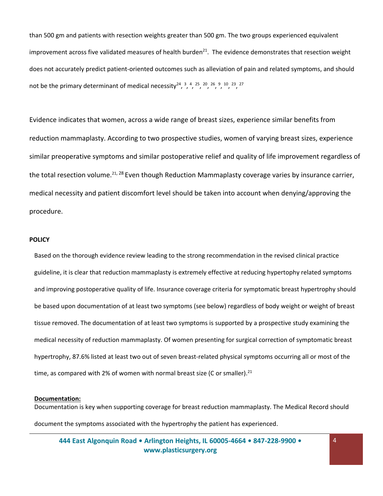than 500 gm and patients with resection weights greater than 500 gm. The two groups experienced equivalent improvement across five validated measures of health burden<sup>[21](#page-2-1)</sup>. The evidence demonstrates that resection weight does not accurately predict patient-oriented outcomes such as alleviation of pain and related symptoms, and should not be the primary determinant of medical necessity<sup>24</sup>[,](#page-0-0)  $3, 4, 25, 20, 26, 9, 10, 23, 27$  $3, 4, 25, 20, 26, 9, 10, 23, 27$  $3, 4, 25, 20, 26, 9, 10, 23, 27$  $3, 4, 25, 20, 26, 9, 10, 23, 27$  $3, 4, 25, 20, 26, 9, 10, 23, 27$  $3, 4, 25, 20, 26, 9, 10, 23, 27$  $3, 4, 25, 20, 26, 9, 10, 23, 27$  $3, 4, 25, 20, 26, 9, 10, 23, 27$  $3, 4, 25, 20, 26, 9, 10, 23, 27$  $3, 4, 25, 20, 26, 9, 10, 23, 27$ 

Evidence indicates that women, across a wide range of breast sizes, experience similar benefits from reduction mammaplasty. According to two prospective studies, women of varying breast sizes, experience similar preoperative symptoms and similar postoperative relief and quality of life improvement regardless of the total resection volume.<sup>[21](#page-2-1), 28</sup> Even though Reduction Mammaplasty coverage varies by insurance carrier, medical necessity and patient discomfort level should be taken into account when denying/approving the procedure.

#### **POLICY**

Based on the thorough evidence review leading to the strong recommendation in the revised clinical practice guideline, it is clear that reduction mammaplasty is extremely effective at reducing hypertophy related symptoms and improving postoperative quality of life. Insurance coverage criteria for symptomatic breast hypertrophy should be based upon documentation of at least two symptoms (see below) regardless of body weight or weight of breast tissue removed. The documentation of at least two symptoms is supported by a prospective study examining the medical necessity of reduction mammaplasty. Of women presenting for surgical correction of symptomatic breast hypertrophy, 87.6% listed at least two out of seven breast-related physical symptoms occurring all or most of the time, as compared with 2% of women with normal breast size (C or smaller). $^{21}$  $^{21}$  $^{21}$ 

#### **Documentation:**

Documentation is key when supporting coverage for breast reduction mammaplasty. The Medical Record should document the symptoms associated with the hypertrophy the patient has experienced.

**444 East Algonquin Road • Arlington Heights, IL 60005-4664 • 847-228-9900 • [www.plasticsurgery.org](http://www.plasticsurgery.org/)**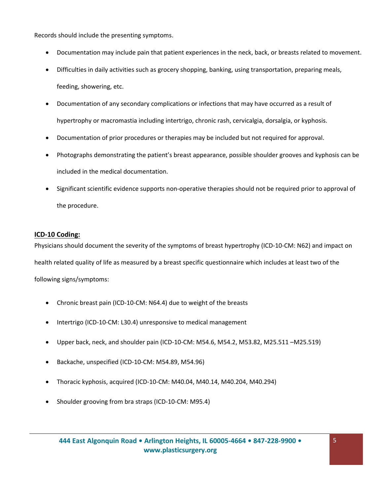Records should include the presenting symptoms.

- Documentation may include pain that patient experiences in the neck, back, or breasts related to movement.
- Difficulties in daily activities such as grocery shopping, banking, using transportation, preparing meals, feeding, showering, etc.
- Documentation of any secondary complications or infections that may have occurred as a result of hypertrophy or macromastia including intertrigo, chronic rash, cervicalgia, dorsalgia, or kyphosis.
- Documentation of prior procedures or therapies may be included but not required for approval.
- Photographs demonstrating the patient's breast appearance, possible shoulder grooves and kyphosis can be included in the medical documentation.
- Significant scientific evidence supports non-operative therapies should not be required prior to approval of the procedure.

## **ICD-10 Coding:**

Physicians should document the severity of the symptoms of breast hypertrophy (ICD-10-CM: N62) and impact on health related quality of life as measured by a breast specific questionnaire which includes at least two of the following signs/symptoms:

- Chronic breast pain (ICD-10-CM: N64.4) due to weight of the breasts
- Intertrigo (ICD-10-CM: L30.4) unresponsive to medical management
- Upper back, neck, and shoulder pain (ICD-10-CM: M54.6, M54.2, M53.82, M25.511 –M25.519)
- Backache, unspecified (ICD-10-CM: M54.89, M54.96)
- Thoracic kyphosis, acquired (ICD-10-CM: M40.04, M40.14, M40.204, M40.294)
- Shoulder grooving from bra straps (ICD-10-CM: M95.4)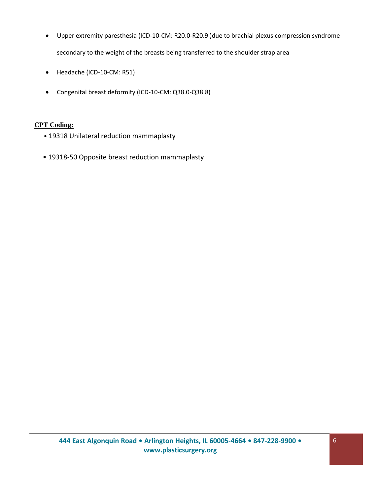- Upper extremity paresthesia (ICD-10-CM: R20.0-R20.9 )due to brachial plexus compression syndrome secondary to the weight of the breasts being transferred to the shoulder strap area
- Headache (ICD-10-CM: R51)
- Congenital breast deformity (ICD-10-CM: Q38.0-Q38.8)

## **CPT Coding:**

- 19318 Unilateral reduction mammaplasty
- 19318-50 Opposite breast reduction mammaplasty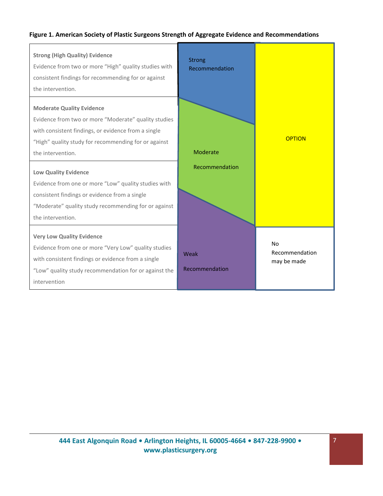## **Figure 1. American Society of Plastic Surgeons Strength of Aggregate Evidence and Recommendations**

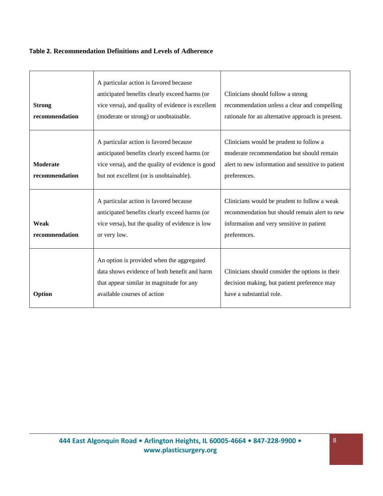## **Table 2. Recommendation Definitions and Levels of Adherence**

| <b>Strong</b><br>recommendation   | A particular action is favored because<br>anticipated benefits clearly exceed harms (or<br>vice versa), and quality of evidence is excellent<br>(moderate or strong) or unobtainable.  | Clinicians should follow a strong<br>recommendation unless a clear and compelling<br>rationale for an alternative approach is present.                     |
|-----------------------------------|----------------------------------------------------------------------------------------------------------------------------------------------------------------------------------------|------------------------------------------------------------------------------------------------------------------------------------------------------------|
| <b>Moderate</b><br>recommendation | A particular action is favored because<br>anticipated benefits clearly exceed harms (or<br>vice versa), and the quality of evidence is good<br>but not excellent (or is unobtainable). | Clinicians would be prudent to follow a<br>moderate recommendation but should remain<br>alert to new information and sensitive to patient<br>preferences.  |
| Weak<br>recommendation            | A particular action is favored because<br>anticipated benefits clearly exceed harms (or<br>vice versa), but the quality of evidence is low<br>or very low.                             | Clinicians would be prudent to follow a weak<br>recommendation but should remain alert to new<br>information and very sensitive to patient<br>preferences. |
| Option                            | An option is provided when the aggregated<br>data shows evidence of both benefit and harm<br>that appear similar in magnitude for any<br>available courses of action                   | Clinicians should consider the options in their<br>decision making, but patient preference may<br>have a substantial role.                                 |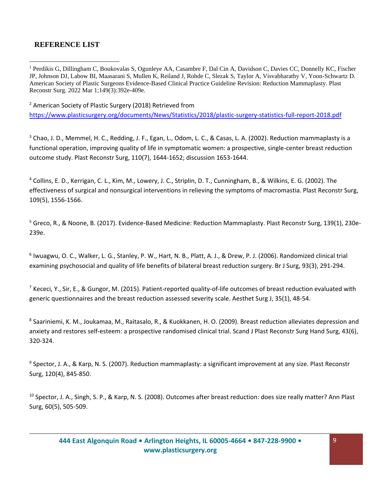## **REFERENCE LIST**

<sup>1</sup> Perdikis G, Dillingham C, Boukovalas S, Ogunleye AA, Casambre F, Dal Cin A, Davidson C, Davies CC, Donnelly KC, Fischer JP, Johnson DJ, Labow BI, Maasarani S, Mullen K, Reiland J, Rohde C, Slezak S, Taylor A, Visvabharathy V, Yoon-Schwartz D. American Society of Plastic Surgeons Evidence-Based Clinical Practice Guideline Revision: Reduction Mammaplasty. Plast Reconstr Surg. 2022 Mar 1;149(3):392e-409e.

<sup>2</sup> American Society of Plastic Surgery (2018) Retrieved from

<https://www.plasticsurgery.org/documents/News/Statistics/2018/plastic-surgery-statistics-full-report-2018.pdf>

<sup>3</sup> Chao, J. D., Memmel, H. C., Redding, J. F., Egan, L., Odom, L. C., & Casas, L. A. (2002). Reduction mammaplasty is a functional operation, improving quality of life in symptomatic women: a prospective, single-center breast reduction outcome study. Plast Reconstr Surg, 110(7), 1644-1652; discussion 1653-1644.

<sup>4</sup> Collins, E. D., Kerrigan, C. L., Kim, M., Lowery, J. C., Striplin, D. T., Cunningham, B., & Wilkins, E. G. (2002). The effectiveness of surgical and nonsurgical interventions in relieving the symptoms of macromastia. Plast Reconstr Surg, 109(5), 1556-1566.

<sup>5</sup> Greco, R., & Noone, B. (2017). Evidence-Based Medicine: Reduction Mammaplasty. Plast Reconstr Surg, 139(1), 230e-239e.

6 Iwuagwu, O. C., Walker, L. G., Stanley, P. W., Hart, N. B., Platt, A. J., & Drew, P. J. (2006). Randomized clinical trial examining psychosocial and quality of life benefits of bilateral breast reduction surgery. Br J Surg, 93(3), 291-294.

<sup>7</sup> Kececi, Y., Sir, E., & Gungor, M. (2015). Patient-reported quality-of-life outcomes of breast reduction evaluated with generic questionnaires and the breast reduction assessed severity scale. Aesthet Surg J, 35(1), 48-54.

<sup>8</sup> Saariniemi, K. M., Joukamaa, M., Raitasalo, R., & Kuokkanen, H. O. (2009). Breast reduction alleviates depression and anxiety and restores self-esteem: a prospective randomised clinical trial. Scand J Plast Reconstr Surg Hand Surg, 43(6), 320-324.

<sup>9</sup> Spector, J. A., & Karp, N. S. (2007). Reduction mammaplasty: a significant improvement at any size. Plast Reconstr Surg, 120(4), 845-850.

<sup>10</sup> Spector, J. A., Singh, S. P., & Karp, N. S. (2008). Outcomes after breast reduction: does size really matter? Ann Plast Surg, 60(5), 505-509.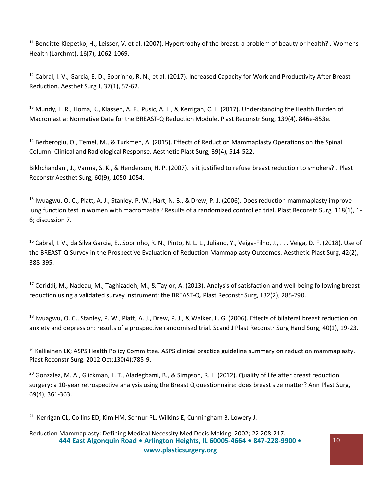$11$  Benditte-Klepetko, H., Leisser, V. et al. (2007). Hypertrophy of the breast: a problem of beauty or health? J Womens Health (Larchmt), 16(7), 1062-1069.

<sup>12</sup> Cabral, I. V., Garcia, E. D., Sobrinho, R. N., et al. (2017). Increased Capacity for Work and Productivity After Breast Reduction. Aesthet Surg J, 37(1), 57-62.

<sup>13</sup> Mundy, L. R., Homa, K., Klassen, A. F., Pusic, A. L., & Kerrigan, C. L. (2017). Understanding the Health Burden of Macromastia: Normative Data for the BREAST-Q Reduction Module. Plast Reconstr Surg, 139(4), 846e-853e.

<sup>14</sup> Berberoglu, O., Temel, M., & Turkmen, A. (2015). Effects of Reduction Mammaplasty Operations on the Spinal Column: Clinical and Radiological Response. Aesthetic Plast Surg, 39(4), 514-522.

Bikhchandani, J., Varma, S. K., & Henderson, H. P. (2007). Is it justified to refuse breast reduction to smokers? J Plast Reconstr Aesthet Surg, 60(9), 1050-1054.

<sup>15</sup> Iwuagwu, O. C., Platt, A. J., Stanley, P. W., Hart, N. B., & Drew, P. J. (2006). Does reduction mammaplasty improve lung function test in women with macromastia? Results of a randomized controlled trial. Plast Reconstr Surg, 118(1), 1- 6; discussion 7.

<sup>16</sup> Cabral, I. V., da Silva Garcia, E., Sobrinho, R. N., Pinto, N. L. L., Juliano, Y., Veiga-Filho, J., . . Veiga, D. F. (2018). Use of the BREAST-Q Survey in the Prospective Evaluation of Reduction Mammaplasty Outcomes. Aesthetic Plast Surg, 42(2), 388-395.

<sup>17</sup> Coriddi, M., Nadeau, M., Taghizadeh, M., & Taylor, A. (2013). Analysis of satisfaction and well-being following breast reduction using a validated survey instrument: the BREAST-Q. Plast Reconstr Surg, 132(2), 285-290.

<sup>18</sup> Iwuagwu, O. C., Stanley, P. W., Platt, A. J., Drew, P. J., & Walker, L. G. (2006). Effects of bilateral breast reduction on anxiety and depression: results of a prospective randomised trial. Scand J Plast Reconstr Surg Hand Surg, 40(1), 19-23.

<sup>19</sup> Kalliainen LK; ASPS Health Policy Committee. ASPS clinical practice guideline summary on reduction mammaplasty. Plast Reconstr Surg. 2012 Oct;130(4):785-9.

<sup>20</sup> Gonzalez, M. A., Glickman, L. T., Aladegbami, B., & Simpson, R. L. (2012). Quality of life after breast reduction surgery: a 10-year retrospective analysis using the Breast Q questionnaire: does breast size matter? Ann Plast Surg, 69(4), 361-363.

<sup>21</sup> Kerrigan CL, Collins ED, Kim HM, Schnur PL, Wilkins E, Cunningham B, Lowery J.

**444 East Algonquin Road • Arlington Heights, IL 60005-4664 • 847-228-9900 • [www.plasticsurgery.org](http://www.plasticsurgery.org/)** Reduction Mammaplasty: Defining Medical Necessity Med Decis Making. 2002; 22:208-217.